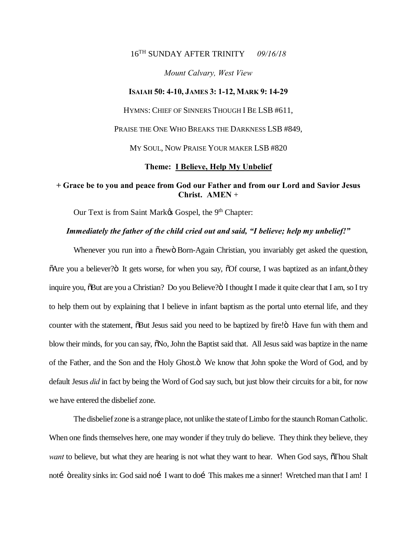## 16TH SUNDAY AFTER TRINITY *09/16/18*

### *Mount Calvary, West View*

#### **ISAIAH 50: 4-10, JAMES 3: 1-12, MARK 9: 14-29**

HYMNS: CHIEF OF SINNERS THOUGH I BE LSB #611,

PRAISE THE ONE WHO BREAKS THE DARKNESS LSB #849,

MY SOUL, NOW PRAISE YOUR MAKER LSB #820

#### **Theme: I Believe, Help My Unbelief**

# **+ Grace be to you and peace from God our Father and from our Lord and Savior Jesus Christ. AMEN** +

Our Text is from Saint Mark& Gospel, the 9<sup>th</sup> Chapter:

### *Immediately the father of the child cried out and said, "I believe; help my unbelief!"*

Whenever you run into a  $\tilde{o}$ new $\ddot{o}$  Born-Again Christian, you invariably get asked the question,  $\delta$ Are you a believer? $\delta$  It gets worse, for when you say,  $\delta$ Of course, I was baptized as an infant, $\delta$  they inquire you,  $\delta$ But are you a Christian? Do you Believe? $\ddot{o}$  I thought I made it quite clear that I am, so I try to help them out by explaining that I believe in infant baptism as the portal unto eternal life, and they counter with the statement,  $\delta$ But Jesus said you need to be baptized by fire! $\ddot{o}$  Have fun with them and blow their minds, for you can say,  $\delta$ No, John the Baptist said that. All Jesus said was baptize in the name of the Father, and the Son and the Holy Ghost. $\ddot{o}$  We know that John spoke the Word of God, and by default Jesus *did* in fact by being the Word of God say such, but just blow their circuits for a bit, for now we have entered the disbelief zone.

The disbelief zone is a strange place, not unlike the state of Limbo for the staunch Roman Catholic. When one finds themselves here, one may wonder if they truly do believe. They think they believe, they *want* to believe, but what they are hearing is not what they want to hear. When God says,  $\delta$ Thou Shalt notí öreality sinks in: God said noí I want to doí This makes me a sinner! Wretched man that I am! I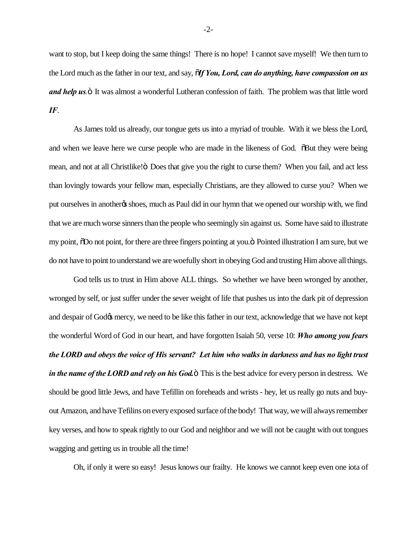want to stop, but I keep doing the same things! There is no hope! I cannot save myself! We then turn to the Lord much as the father in our text, and say, "*If You, Lord, can do anything, have compassion on us and help us*  $\ddot{o}$  It was almost a wonderful Lutheran confession of faith. The problem was that little word *IF*.

As James told us already, our tongue gets us into a myriad of trouble. With it we bless the Lord, and when we leave here we curse people who are made in the likeness of God.  $\ddot{\text{o}}$ But they were being mean, and not at all Christlike!" Does that give you the right to curse them? When you fail, and act less than lovingly towards your fellow man, especially Christians, are they allowed to curse you? When we put ourselves in anotheros shoes, much as Paul did in our hymn that we opened our worship with, we find that we are much worse sinners than the people who seemingly sin against us. Some have said to illustrate my point,  $\delta$ Do not point, for there are three fingers pointing at you. $\ddot{o}$  Pointed illustration I am sure, but we do not have to point to understand we are woefully short in obeying God and trusting Him above all things.

God tells us to trust in Him above ALL things. So whether we have been wronged by another, wronged by self, or just suffer under the sever weight of life that pushes us into the dark pit of depression and despair of God $\alpha$  mercy, we need to be like this father in our text, acknowledge that we have not kept the wonderful Word of God in our heart, and have forgotten Isaiah 50, verse 10: *Who among you fears the LORD and obeys the voice of His servant? Let him who walks in darkness and has no light trust in the name of the LORD and rely on his God.* This is the best advice for every person in destress. We should be good little Jews, and have Tefillin on foreheads and wrists - hey, let us really go nuts and buyout Amazon, and have Tefilins on every exposed surface of the body! That way, we will always remember key verses, and how to speak rightly to our God and neighbor and we will not be caught with out tongues wagging and getting us in trouble all the time!

Oh, if only it were so easy! Jesus knows our frailty. He knows we cannot keep even one iota of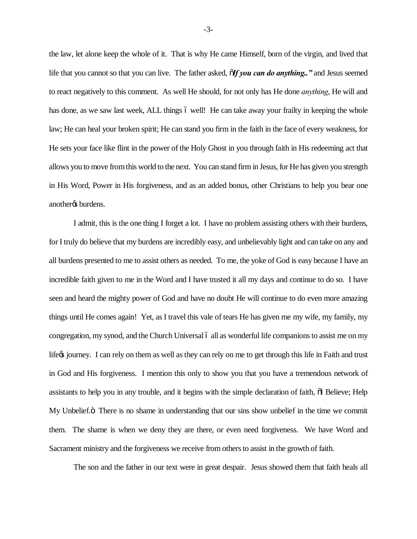the law, let alone keep the whole of it. That is why He came Himself, born of the virgin, and lived that life that you cannot so that you can live. The father asked,  $\tilde{\mathbf{d}}f$  you can do anything..<sup>*"*</sup> and Jesus seemed to react negatively to this comment. As well He should, for not only has He done *anything*, He will and has done, as we saw last week, ALL things 6 well! He can take away your frailty in keeping the whole law; He can heal your broken spirit; He can stand you firm in the faith in the face of every weakness, for He sets your face like flint in the power of the Holy Ghost in you through faith in His redeeming act that allows you to move from this world to the next. You can stand firm in Jesus, for He has given you strength in His Word, Power in His forgiveness, and as an added bonus, other Christians to help you bear one another<sub>os</sub> burdens.

I admit, this is the one thing I forget a lot. I have no problem assisting others with their burdens, for I truly do believe that my burdens are incredibly easy, and unbelievably light and can take on any and all burdens presented to me to assist others as needed. To me, the yoke of God is easy because I have an incredible faith given to me in the Word and I have trusted it all my days and continue to do so. I have seen and heard the mighty power of God and have no doubt He will continue to do even more amazing things until He comes again! Yet, as I travel this vale of tears He has given me my wife, my family, my congregation, my synod, and the Church Universal 6 all as wonderful life companions to assist me on my life $\alpha$  journey. I can rely on them as well as they can rely on me to get through this life in Faith and trust in God and His forgiveness. I mention this only to show you that you have a tremendous network of assistants to help you in any trouble, and it begins with the simple declaration of faith,  $\delta I$  Believe; Help My Unbelief." There is no shame in understanding that our sins show unbelief in the time we commit them. The shame is when we deny they are there, or even need forgiveness. We have Word and Sacrament ministry and the forgiveness we receive from others to assist in the growth of faith.

The son and the father in our text were in great despair. Jesus showed them that faith heals all

-3-